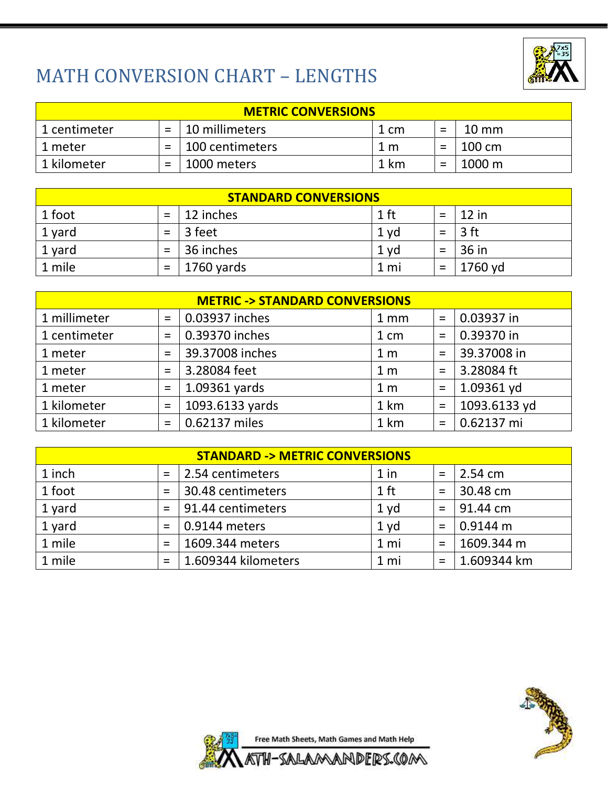

## MATH CONVERSION CHART – LENGTHS

| <b>METRIC CONVERSIONS</b> |     |                 |      |  |                 |  |  |  |  |
|---------------------------|-----|-----------------|------|--|-----------------|--|--|--|--|
| 1 centimeter              |     | 10 millimeters  | 1 cm |  | $10 \text{ mm}$ |  |  |  |  |
| 1 meter                   | $=$ | 100 centimeters | 1 m  |  | 100 cm          |  |  |  |  |
| 1 kilometer               | $=$ | 1000 meters     | 1 km |  | 1000 m          |  |  |  |  |

| <b>STANDARD CONVERSIONS</b> |          |            |        |  |         |  |  |  |  |
|-----------------------------|----------|------------|--------|--|---------|--|--|--|--|
| 1 foot                      |          | 12 inches  | $1$ ft |  | $12$ in |  |  |  |  |
| 1 yard                      | $=$      | 3 feet     | 1 yd   |  | 3 ft    |  |  |  |  |
| 1 yard                      | $=$      | 36 inches  | 1 yd   |  | 36 in   |  |  |  |  |
| 1 mile                      | $\equiv$ | 1760 yards | 1 mi   |  | 1760 yd |  |  |  |  |

| <b>METRIC -&gt; STANDARD CONVERSIONS</b> |          |                 |                 |          |              |  |  |  |  |
|------------------------------------------|----------|-----------------|-----------------|----------|--------------|--|--|--|--|
| 1 millimeter                             | $\equiv$ | 0.03937 inches  | 1 <sub>mm</sub> | $\equiv$ | 0.03937 in   |  |  |  |  |
| 1 centimeter                             | $=$      | 0.39370 inches  | 1 cm            | $=$      | 0.39370 in   |  |  |  |  |
| 1 meter                                  | $=$      | 39.37008 inches | 1 <sub>m</sub>  | $=$      | 39.37008 in  |  |  |  |  |
| 1 meter                                  | $=$      | 3.28084 feet    | 1 <sub>m</sub>  | $=$      | 3.28084 ft   |  |  |  |  |
| 1 meter                                  | $\equiv$ | 1.09361 yards   | 1 <sub>m</sub>  | $\equiv$ | 1.09361 yd   |  |  |  |  |
| 1 kilometer                              | $=$      | 1093.6133 yards | 1 km            | $=$      | 1093.6133 yd |  |  |  |  |
| 1 kilometer                              | $=$      | 0.62137 miles   | 1 km            | $=$      | 0.62137 mi   |  |  |  |  |

| <b>STANDARD -&gt; METRIC CONVERSIONS</b> |     |                     |                 |          |             |  |  |  |  |
|------------------------------------------|-----|---------------------|-----------------|----------|-------------|--|--|--|--|
| 1 inch                                   | $=$ | 2.54 centimeters    | $1$ in          | $\equiv$ | 2.54 cm     |  |  |  |  |
| 1 foot                                   | $=$ | 30.48 centimeters   | $1$ ft          | $\equiv$ | 30.48 cm    |  |  |  |  |
| 1 yard                                   | $=$ | 91.44 centimeters   | 1 <sub>yd</sub> | $=$      | 91.44 cm    |  |  |  |  |
| 1 yard                                   | $=$ | 0.9144 meters       | 1 yd            | $\equiv$ | 0.9144 m    |  |  |  |  |
| 1 mile                                   | $=$ | 1609.344 meters     | 1 mi            | $=$      | 1609.344 m  |  |  |  |  |
| 1 mile                                   | $=$ | 1.609344 kilometers | 1 mi            |          | 1.609344 km |  |  |  |  |



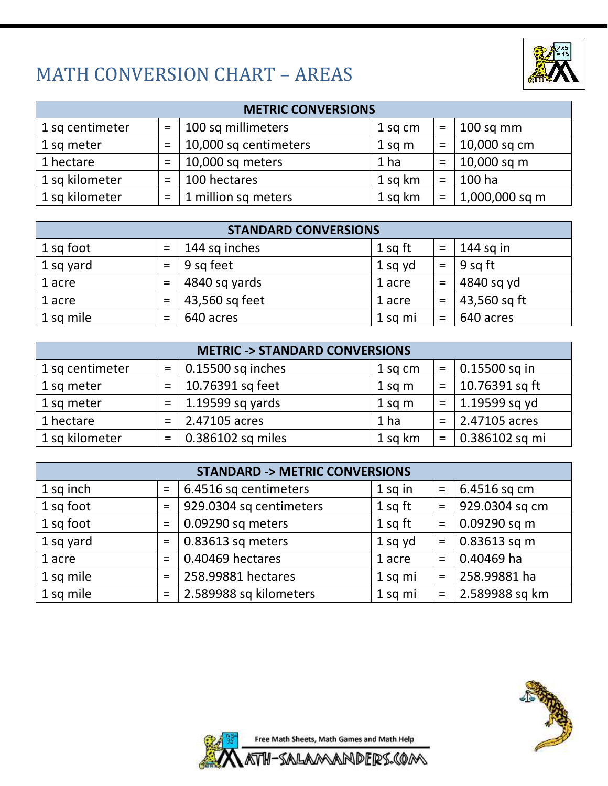#### MATH CONVERSION CHART – AREAS



| <b>METRIC CONVERSIONS</b> |          |                       |                 |     |                |  |  |  |  |  |
|---------------------------|----------|-----------------------|-----------------|-----|----------------|--|--|--|--|--|
| 1 sq centimeter           | $\equiv$ | 100 sq millimeters    | 1 sq cm         | $=$ | $100$ sq mm    |  |  |  |  |  |
| 1 sq meter                | $=$      | 10,000 sq centimeters | $1$ sq m        | $=$ | 10,000 sq cm   |  |  |  |  |  |
| 1 hectare                 | $=$      | 10,000 sq meters      | 1 <sub>ha</sub> | $=$ | 10,000 sq m    |  |  |  |  |  |
| 1 sq kilometer            | $=$      | 100 hectares          | 1 sq km         | $=$ | 100 ha         |  |  |  |  |  |
| 1 sq kilometer            | $=$      | 1 million sq meters   | 1 sq km         | $=$ | 1,000,000 sq m |  |  |  |  |  |

| <b>STANDARD CONVERSIONS</b> |     |                |         |          |              |  |  |  |  |
|-----------------------------|-----|----------------|---------|----------|--------------|--|--|--|--|
| 1 sq foot                   | $=$ | 144 sq inches  | 1 sq ft | $=$      | $144$ sq in  |  |  |  |  |
| 1 sq yard                   | $=$ | 9 sq feet      | 1 sq yd | $\equiv$ | 9 sq ft      |  |  |  |  |
| 1 acre                      | $=$ | 4840 sq yards  | 1 acre  | $=$      | 4840 sq yd   |  |  |  |  |
| 1 acre                      | $=$ | 43,560 sq feet | 1 acre  | $=$      | 43,560 sq ft |  |  |  |  |
| 1 sq mile                   | $=$ | 640 acres      | 1 sq mi | $\equiv$ | 640 acres    |  |  |  |  |

| <b>METRIC -&gt; STANDARD CONVERSIONS</b> |     |                     |           |     |                       |  |  |  |  |
|------------------------------------------|-----|---------------------|-----------|-----|-----------------------|--|--|--|--|
| 1 sq centimeter                          | $=$ | $0.15500$ sq inches | 1 sq cm   | $=$ | $\vert$ 0.15500 sq in |  |  |  |  |
| 1 sq meter                               | $=$ | 10.76391 sq feet    | $1$ sq m  | $=$ | 10.76391 sq ft        |  |  |  |  |
| 1 sq meter                               | $=$ | 1.19599 sq yards    | $1$ sq m  | $=$ | $\vert$ 1.19599 sq yd |  |  |  |  |
| 1 hectare                                | $=$ | 2.47105 acres       | 1 ha      | $=$ | 2.47105 acres         |  |  |  |  |
| 1 sq kilometer                           | $=$ | 0.386102 sq miles   | $1$ sq km | $=$ | 0.386102 sq mi        |  |  |  |  |

| <b>STANDARD -&gt; METRIC CONVERSIONS</b> |          |                         |         |          |                |  |  |  |  |
|------------------------------------------|----------|-------------------------|---------|----------|----------------|--|--|--|--|
| 1 sq inch                                | $\equiv$ | 6.4516 sq centimeters   | 1 sq in | $\equiv$ | 6.4516 sq cm   |  |  |  |  |
| 1 sq foot                                | $=$      | 929.0304 sq centimeters | 1 sq ft | $\equiv$ | 929.0304 sq cm |  |  |  |  |
| 1 sq foot                                | $=$      | 0.09290 sq meters       | 1 sq ft | $\equiv$ | 0.09290 sq m   |  |  |  |  |
| 1 sq yard                                | $=$      | 0.83613 sq meters       | 1 sq yd | $\equiv$ | 0.83613 sq m   |  |  |  |  |
| 1 acre                                   | $=$      | 0.40469 hectares        | 1 acre  | $=$      | 0.40469 ha     |  |  |  |  |
| 1 sq mile                                | $=$      | 258.99881 hectares      | 1 sq mi | $=$      | 258.99881 ha   |  |  |  |  |
| 1 sq mile                                | $=$      | 2.589988 sq kilometers  | 1 sq mi | $\equiv$ | 2.589988 sq km |  |  |  |  |



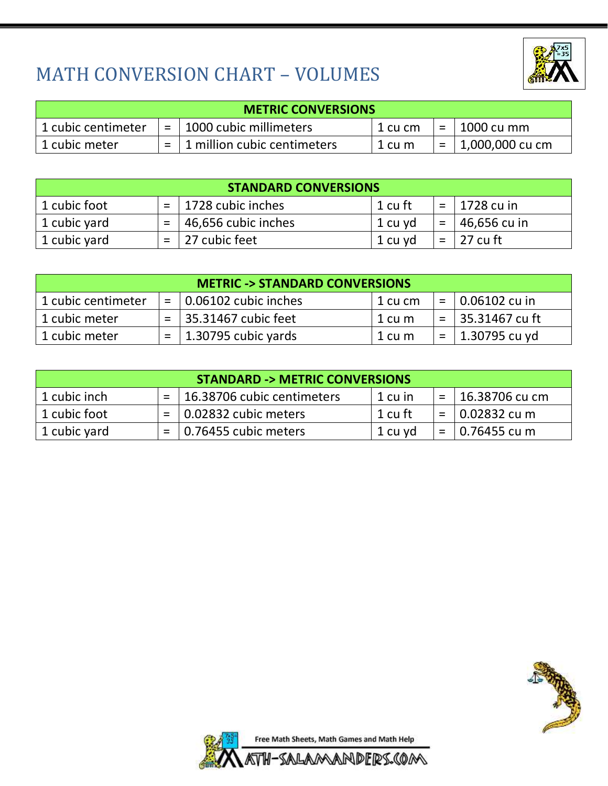

## MATH CONVERSION CHART – VOLUMES

| <b>METRIC CONVERSIONS</b> |     |                             |         |     |                 |  |  |  |  |
|---------------------------|-----|-----------------------------|---------|-----|-----------------|--|--|--|--|
| 1 cubic centimeter        | $=$ | 1000 cubic millimeters      | 1 cu cm | $=$ | 1000 cu mm      |  |  |  |  |
| 1 cubic meter             |     | 1 million cubic centimeters | 1 cu m  |     | 1,000,000 cu cm |  |  |  |  |

| <b>STANDARD CONVERSIONS</b> |  |                         |         |     |                  |  |  |  |  |
|-----------------------------|--|-------------------------|---------|-----|------------------|--|--|--|--|
| 1 cubic foot                |  | $=$   1728 cubic inches | 1 cu ft |     | $=$   1728 cu in |  |  |  |  |
| 1 cubic yard                |  | 46,656 cubic inches     | 1 cu yd | $=$ | 46,656 cu in     |  |  |  |  |
| 1 cubic yard                |  | 27 cubic feet           | 1 cu yd | $=$ | 27 cu ft         |  |  |  |  |

| <b>METRIC -&gt; STANDARD CONVERSIONS</b> |     |                              |                 |     |                   |  |  |  |  |
|------------------------------------------|-----|------------------------------|-----------------|-----|-------------------|--|--|--|--|
| 1 cubic centimeter                       | $=$ | $\vert$ 0.06102 cubic inches | $\vert$ 1 cu cm |     | $= 0.06102$ cu in |  |  |  |  |
| 1 cubic meter                            | $=$ | 35.31467 cubic feet          | 1 cu m          | $=$ | 35.31467 cu ft    |  |  |  |  |
| 1 cubic meter                            | $=$ | 1.30795 cubic yards          | 1 cu m          |     | 1.30795 cu yd     |  |  |  |  |

| <b>STANDARD -&gt; METRIC CONVERSIONS</b> |  |                              |         |     |                 |  |  |  |  |
|------------------------------------------|--|------------------------------|---------|-----|-----------------|--|--|--|--|
| 1 cubic inch                             |  | 16.38706 cubic centimeters   | 1 cu in |     | 16.38706 cu cm  |  |  |  |  |
| 1 cubic foot                             |  | $\vert$ 0.02832 cubic meters | 1 cu ft |     | 0.02832 cu m    |  |  |  |  |
| 1 cubic yard                             |  | $\vert$ 0.76455 cubic meters | 1 cu yd | $=$ | $ 0.76455$ cu m |  |  |  |  |



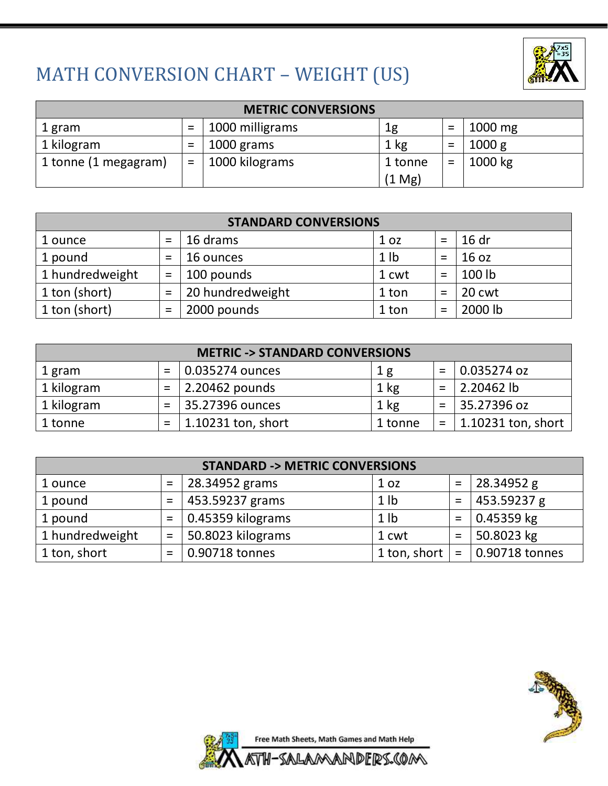

# MATH CONVERSION CHART – WEIGHT (US)

| <b>METRIC CONVERSIONS</b> |     |                 |                  |          |                   |  |
|---------------------------|-----|-----------------|------------------|----------|-------------------|--|
| 1 gram                    |     | 1000 milligrams | 1g               | $\equiv$ | $1000 \text{ mg}$ |  |
| 1 kilogram                |     | 1000 grams      | $1 \text{ kg}$   | $=$      | 1000 g            |  |
| 1 tonne (1 megagram)      | $=$ | 1000 kilograms  | 1 tonne          | $=$      | 1000 kg           |  |
|                           |     |                 | $(1 \text{ Mg})$ |          |                   |  |

| <b>STANDARD CONVERSIONS</b> |     |                  |                 |     |         |  |  |
|-----------------------------|-----|------------------|-----------------|-----|---------|--|--|
| 1 ounce                     | $=$ | 16 drams         | 1 <sub>oz</sub> | $=$ | 16 dr   |  |  |
| 1 pound                     | $=$ | 16 ounces        | 1 <sub>1</sub>  | $=$ | 16 oz   |  |  |
| 1 hundredweight             | $=$ | 100 pounds       | 1 cwt           | $=$ | 100 lb  |  |  |
| 1 ton (short)               | $=$ | 20 hundredweight | 1 ton           | $=$ | 20 cwt  |  |  |
| 1 ton (short)               | $=$ | 2000 pounds      | 1 ton           |     | 2000 lb |  |  |

| <b>METRIC -&gt; STANDARD CONVERSIONS</b> |     |                        |         |     |                    |  |  |
|------------------------------------------|-----|------------------------|---------|-----|--------------------|--|--|
| 1 gram                                   |     | 0.035274 ounces        | 1 g     | $=$ | $ 0.035274$ oz     |  |  |
| 1 kilogram                               | $=$ | $\vert$ 2.20462 pounds | 1 kg    | $=$ | 2.20462 lb         |  |  |
| 1 kilogram                               | $=$ | 35.27396 ounces        | 1 kg    | $=$ | 35.27396 oz        |  |  |
| 1 tonne                                  | $=$ | 1.10231 ton, short     | 1 tonne | $=$ | 1.10231 ton, short |  |  |

| <b>STANDARD -&gt; METRIC CONVERSIONS</b> |     |                   |                 |     |                |  |
|------------------------------------------|-----|-------------------|-----------------|-----|----------------|--|
| 1 ounce                                  |     | 28.34952 grams    | 1 <sub>oz</sub> | $=$ | 28.34952 g     |  |
| 1 pound                                  | $=$ | 453.59237 grams   | 1 <sub>1</sub>  | $=$ | 453.59237 g    |  |
| 1 pound                                  | $=$ | 0.45359 kilograms | 1 <sub>1</sub>  | $=$ | 0.45359 kg     |  |
| 1 hundredweight                          | $=$ | 50.8023 kilograms | 1 cwt           | $=$ | 50.8023 kg     |  |
| 1 ton, short                             | $=$ | 0.90718 tonnes    | 1 ton, short    | $=$ | 0.90718 tonnes |  |